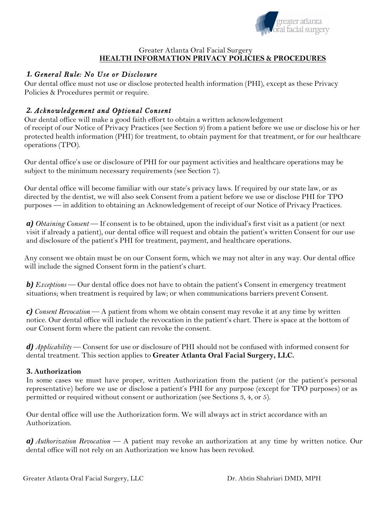

#### Greater Atlanta Oral Facial Surgery **HEALTH INFORMATION PRIVACY POLICIES & PROCEDURES**

## *1. General Rule: No Use or Disclosure*

Our dental office must not use or disclose protected health information (PHI), except as these Privacy Policies & Procedures permit or require.

# *2. Acknowledgement and Optional Consent*

Our dental office will make a good faith effort to obtain a written acknowledgement of receipt of our Notice of Privacy Practices (see Section 9) from a patient before we use or disclose his or her protected health information (PHI) for treatment, to obtain payment for that treatment, or for our healthcare operations (TPO).

Our dental office's use or disclosure of PHI for our payment activities and healthcare operations may be subject to the minimum necessary requirements (see Section 7).

Our dental office will become familiar with our state's privacy laws. If required by our state law, or as directed by the dentist, we will also seek Consent from a patient before we use or disclose PHI for TPO purposes — in addition to obtaining an Acknowledgement of receipt of our Notice of Privacy Practices.

*a) Obtaining Consent* — If consent is to be obtained, upon the individual's first visit as a patient (or next visit if already a patient), our dental office will request and obtain the patient's written Consent for our use and disclosure of the patient's PHI for treatment, payment, and healthcare operations.

Any consent we obtain must be on our Consent form, which we may not alter in any way. Our dental office will include the signed Consent form in the patient's chart.

*b) Exceptions* — Our dental office does not have to obtain the patient's Consent in emergency treatment situations; when treatment is required by law; or when communications barriers prevent Consent.

*c) Consent Revocation* — A patient from whom we obtain consent may revoke it at any time by written notice. Our dental office will include the revocation in the patient's chart. There is space at the bottom of our Consent form where the patient can revoke the consent.

*d) Applicability* — Consent for use or disclosure of PHI should not be confused with informed consent for dental treatment. This section applies to **Greater Atlanta Oral Facial Surgery, LLC.**

## **3. Authorization**

In some cases we must have proper, written Authorization from the patient (or the patient's personal representative) before we use or disclose a patient's PHI for any purpose (except for TPO purposes) or as permitted or required without consent or authorization (see Sections 3, 4, or 5).

Our dental office will use the Authorization form. We will always act in strict accordance with an Authorization.

*a) Authorization Revocation* — A patient may revoke an authorization at any time by written notice. Our dental office will not rely on an Authorization we know has been revoked.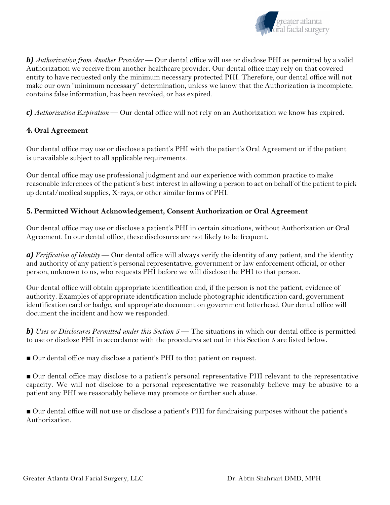

*b) Authorization from Another Provider* — Our dental office will use or disclose PHI as permitted by a valid Authorization we receive from another healthcare provider. Our dental office may rely on that covered entity to have requested only the minimum necessary protected PHI. Therefore, our dental office will not make our own "minimum necessary" determination, unless we know that the Authorization is incomplete, contains false information, has been revoked, or has expired.

*c) Authorization Expiration* — Our dental office will not rely on an Authorization we know has expired.

## **4. Oral Agreement**

Our dental office may use or disclose a patient's PHI with the patient's Oral Agreement or if the patient is unavailable subject to all applicable requirements.

Our dental office may use professional judgment and our experience with common practice to make reasonable inferences of the patient's best interest in allowing a person to act on behalf of the patient to pick up dental/medical supplies, X-rays, or other similar forms of PHI.

## **5. Permitted Without Acknowledgement, Consent Authorization or Oral Agreement**

Our dental office may use or disclose a patient's PHI in certain situations, without Authorization or Oral Agreement. In our dental office, these disclosures are not likely to be frequent.

*a) Verification of Identity* — Our dental office will always verify the identity of any patient, and the identity and authority of any patient's personal representative, government or law enforcement official, or other person, unknown to us, who requests PHI before we will disclose the PHI to that person.

Our dental office will obtain appropriate identification and, if the person is not the patient, evidence of authority. Examples of appropriate identification include photographic identification card, government identification card or badge, and appropriate document on government letterhead. Our dental office will document the incident and how we responded.

*b) Uses or Disclosures Permitted under this Section 5* — The situations in which our dental office is permitted to use or disclose PHI in accordance with the procedures set out in this Section 5 are listed below.

■ Our dental office may disclose a patient's PHI to that patient on request.

■ Our dental office may disclose to a patient's personal representative PHI relevant to the representative capacity. We will not disclose to a personal representative we reasonably believe may be abusive to a patient any PHI we reasonably believe may promote or further such abuse.

■ Our dental office will not use or disclose a patient's PHI for fundraising purposes without the patient's Authorization.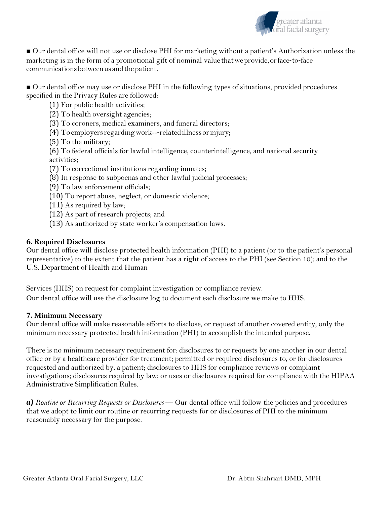

■ Our dental office will not use or disclose PHI for marketing without a patient's Authorization unless the marketing is in the form of a promotional gift of nominal value thatweprovide,orface-to-face communications between us and the patient.

■ Our dental office may use or disclose PHI in the following types of situations, provided procedures specified in the Privacy Rules are followed:

(1) For public health activities;

(2) To health oversight agencies;

(3) To coroners, medical examiners, and funeral directors;

- (4) Toemployersregardingwork---relatedillnessorinjury;
- (5) To the military;

(6) To federal officials for lawful intelligence, counterintelligence, and national security activities;

- (7) To correctional institutions regarding inmates;
- (8) In response to subpoenas and other lawful judicial processes;
- (9) To law enforcement officials;
- (10) To report abuse, neglect, or domestic violence;
- (11) As required by law;
- (12) As part of research projects; and
- (13) As authorized by state worker's compensation laws.

### **6. Required Disclosures**

Our dental office will disclose protected health information (PHI) to a patient (or to the patient's personal representative) to the extent that the patient has a right of access to the PHI (see Section 10); and to the U.S. Department of Health and Human

Services (HHS) on request for complaint investigation or compliance review. Our dental office will use the disclosure log to document each disclosure we make to HHS.

#### **7. Minimum Necessary**

Our dental office will make reasonable efforts to disclose, or request of another covered entity, only the minimum necessary protected health information (PHI) to accomplish the intended purpose.

There is no minimum necessary requirement for: disclosures to or requests by one another in our dental office or by a healthcare provider for treatment; permitted or required disclosures to, or for disclosures requested and authorized by, a patient; disclosures to HHS for compliance reviews or complaint investigations; disclosures required by law; or uses or disclosures required for compliance with the HIPAA Administrative Simplification Rules.

*a) Routine or Recurring Requests or Disclosures* — Our dental office will follow the policies and procedures that we adopt to limit our routine or recurring requests for or disclosures of PHI to the minimum reasonably necessary for the purpose.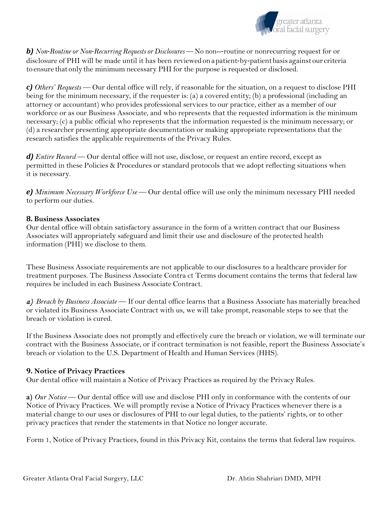

*b) Non-Routine or Non-Recurring Requests or Disclosures* — No non---routine or nonrecurring request for or disclosure of PHI will be made until it has been reviewedona patient-by-patientbasis against our criteria to ensure that only the minimum necessary PHI for the purpose is requested or disclosed.

*c) Others' Requests* — Our dental office will rely, if reasonable for the situation, on a request to disclose PHI being for the minimum necessary, if the requester is: (a) a covered entity; (b) a professional (including an attorney or accountant) who provides professional services to our practice, either as a member of our workforce or as our Business Associate, and who represents that the requested information is the minimum necessary; (c) a public official who represents that the information requested is the minimum necessary; or (d) a researcher presenting appropriate documentation or making appropriate representations that the research satisfies the applicable requirements of the Privacy Rules.

*d) Entire Record* — Our dental office will not use, disclose, or request an entire record, except as permitted in these Policies & Procedures or standard protocols that we adopt reflecting situations when it is necessary.

*e) Minimum Necessary Workforce Use* — Our dental office will use only the minimum necessary PHI needed to perform our duties.

#### **8. Business Associates**

Our dental office will obtain satisfactory assurance in the form of a written contract that our Business Associates will appropriately safeguard and limit their use and disclosure of the protected health information (PHI) we disclose to them.

These Business Associate requirements are not applicable to our disclosures to a healthcare provider for treatment purposes. The Business Associate Contra ct Terms document contains the terms that federal law requires be included in each Business Associate Contract.

*a) Breach by Business Associate* — If our dental office learns that a Business Associate has materially breached or violated its Business Associate Contract with us, we will take prompt, reasonable steps to see that the breach or violation is cured.

If the Business Associate does not promptly and effectively cure the breach or violation, we will terminate our contract with the Business Associate, or if contract termination is not feasible, report the Business Associate's breach or violation to the U.S. Department of Health and Human Services (HHS).

#### **9. Notice of Privacy Practices**

Our dental office will maintain a Notice of Privacy Practices as required by the Privacy Rules.

**a)** *Our Notice* — Our dental office will use and disclose PHI only in conformance with the contents of our Notice of Privacy Practices. We will promptly revise a Notice of Privacy Practices whenever there is a material change to our uses or disclosures of PHI to our legal duties, to the patients' rights, or to other privacy practices that render the statements in that Notice no longer accurate.

Form 1, Notice of Privacy Practices, found in this Privacy Kit, contains the terms that federal law requires.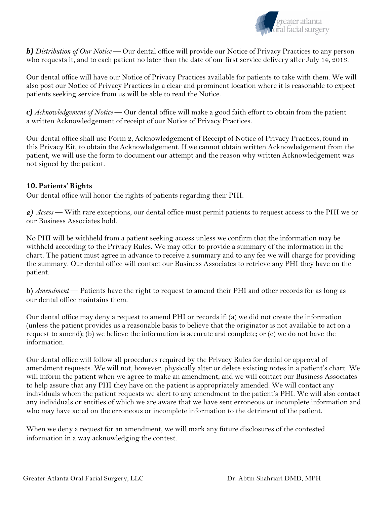

*b) Distribution of Our Notice* — Our dental office will provide our Notice of Privacy Practices to any person who requests it, and to each patient no later than the date of our first service delivery after July 14, 2013.

Our dental office will have our Notice of Privacy Practices available for patients to take with them. We will also post our Notice of Privacy Practices in a clear and prominent location where it is reasonable to expect patients seeking service from us will be able to read the Notice.

*c) Acknowledgement of Notice* — Our dental office will make a good faith effort to obtain from the patient a written Acknowledgement of receipt of our Notice of Privacy Practices.

Our dental office shall use Form 2, Acknowledgement of Receipt of Notice of Privacy Practices, found in this Privacy Kit, to obtain the Acknowledgement. If we cannot obtain written Acknowledgement from the patient, we will use the form to document our attempt and the reason why written Acknowledgement was not signed by the patient.

### **10. Patients' Rights**

Our dental office will honor the rights of patients regarding their PHI.

*a) Access* — With rare exceptions, our dental office must permit patients to request access to the PHI we or our Business Associates hold.

No PHI will be withheld from a patient seeking access unless we confirm that the information may be withheld according to the Privacy Rules. We may offer to provide a summary of the information in the chart. The patient must agree in advance to receive a summary and to any fee we will charge for providing the summary. Our dental office will contact our Business Associates to retrieve any PHI they have on the patient.

**b)** *Amendment* — Patients have the right to request to amend their PHI and other records for as long as our dental office maintains them.

Our dental office may deny a request to amend PHI or records if: (a) we did not create the information (unless the patient provides us a reasonable basis to believe that the originator is not available to act on a request to amend); (b) we believe the information is accurate and complete; or (c) we do not have the information.

Our dental office will follow all procedures required by the Privacy Rules for denial or approval of amendment requests. We will not, however, physically alter or delete existing notes in a patient's chart. We will inform the patient when we agree to make an amendment, and we will contact our Business Associates to help assure that any PHI they have on the patient is appropriately amended. We will contact any individuals whom the patient requests we alert to any amendment to the patient's PHI. We will also contact any individuals or entities of which we are aware that we have sent erroneous or incomplete information and who may have acted on the erroneous or incomplete information to the detriment of the patient.

When we deny a request for an amendment, we will mark any future disclosures of the contested information in a way acknowledging the contest.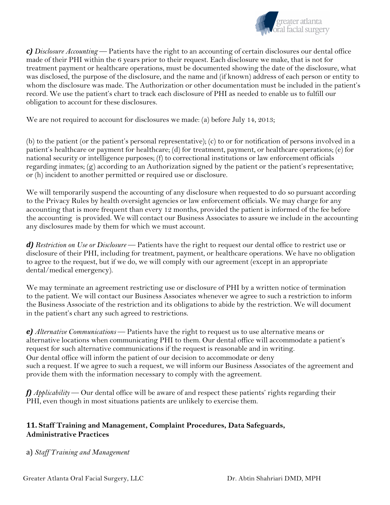

*c) Disclosure Accounting* — Patients have the right to an accounting of certain disclosures our dental office made of their PHI within the 6 years prior to their request. Each disclosure we make, that is not for treatment payment or healthcare operations, must be documented showing the date of the disclosure, what was disclosed, the purpose of the disclosure, and the name and (if known) address of each person or entity to whom the disclosure was made. The Authorization or other documentation must be included in the patient's record. We use the patient's chart to track each disclosure of PHI as needed to enable us to fulfill our obligation to account for these disclosures.

We are not required to account for disclosures we made: (a) before July 14, 2013;

(b) to the patient (or the patient's personal representative); (c) to or for notification of persons involved in a patient's healthcare or payment for healthcare; (d) for treatment, payment, or healthcare operations; (e) for national security or intelligence purposes; (f) to correctional institutions or law enforcement officials regarding inmates; (g) according to an Authorization signed by the patient or the patient's representative; or (h) incident to another permitted or required use or disclosure.

We will temporarily suspend the accounting of any disclosure when requested to do so pursuant according to the Privacy Rules by health oversight agencies or law enforcement officials. We may charge for any accounting that is more frequent than every 12 months, provided the patient is informed of the fee before the accounting is provided. We will contact our Business Associates to assure we include in the accounting any disclosures made by them for which we must account.

*d) Restriction on Use or Disclosure* — Patients have the right to request our dental office to restrict use or disclosure of their PHI, including for treatment, payment, or healthcare operations. We have no obligation to agree to the request, but if we do, we will comply with our agreement (except in an appropriate dental/medical emergency).

We may terminate an agreement restricting use or disclosure of PHI by a written notice of termination to the patient. We will contact our Business Associates whenever we agree to such a restriction to inform the Business Associate of the restriction and its obligations to abide by the restriction. We will document in the patient's chart any such agreed to restrictions.

*e) Alternative Communications* — Patients have the right to request us to use alternative means or alternative locations when communicating PHI to them. Our dental office will accommodate a patient's request for such alternative communications if the request is reasonable and in writing. Our dental office will inform the patient of our decision to accommodate or deny such a request. If we agree to such a request, we will inform our Business Associates of the agreement and provide them with the information necessary to comply with the agreement.

*f) Applicability* — Our dental office will be aware of and respect these patients' rights regarding their PHI, even though in most situations patients are unlikely to exercise them.

## **11. Staff Training and Management, Complaint Procedures, Data Safeguards, Administrative Practices**

a) *Staff Training and Management*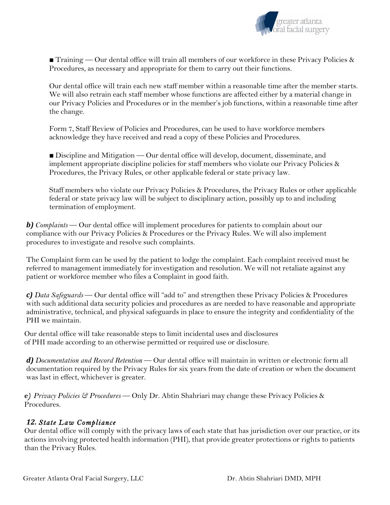

**Training** — Our dental office will train all members of our workforce in these Privacy Policies  $\&$ Procedures, as necessary and appropriate for them to carry out their functions.

Our dental office will train each new staff member within a reasonable time after the member starts. We will also retrain each staff member whose functions are affected either by a material change in our Privacy Policies and Procedures or in the member's job functions, within a reasonable time after the change.

Form 7, Staff Review of Policies and Procedures, can be used to have workforce members acknowledge they have received and read a copy of these Policies and Procedures.

■ Discipline and Mitigation — Our dental office will develop, document, disseminate, and implement appropriate discipline policies for staff members who violate our Privacy Policies  $\&$ Procedures, the Privacy Rules, or other applicable federal or state privacy law.

Staff members who violate our Privacy Policies & Procedures, the Privacy Rules or other applicable federal or state privacy law will be subject to disciplinary action, possibly up to and including termination of employment.

*b) Complaints* — Our dental office will implement procedures for patients to complain about our compliance with our Privacy Policies & Procedures or the Privacy Rules. We will also implement procedures to investigate and resolve such complaints.

The Complaint form can be used by the patient to lodge the complaint. Each complaint received must be referred to management immediately for investigation and resolution. We will not retaliate against any patient or workforce member who files a Complaint in good faith.

*c) Data Safeguards* — Our dental office will "add to" and strengthen these Privacy Policies & Procedures with such additional data security policies and procedures as are needed to have reasonable and appropriate administrative, technical, and physical safeguards in place to ensure the integrity and confidentiality of the PHI we maintain.

Our dental office will take reasonable steps to limit incidental uses and disclosures of PHI made according to an otherwise permitted or required use or disclosure.

*d) Documentation and Record Retention* — Our dental office will maintain in written or electronic form all documentation required by the Privacy Rules for six years from the date of creation or when the document was last in effect, whichever is greater.

**e***) Privacy Policies & Procedures* — Only Dr. Abtin Shahriari may change these Privacy Policies & Procedures.

## *12. State Law Compliance*

Our dental office will comply with the privacy laws of each state that has jurisdiction over our practice, or its actions involving protected health information (PHI), that provide greater protections or rights to patients than the Privacy Rules.